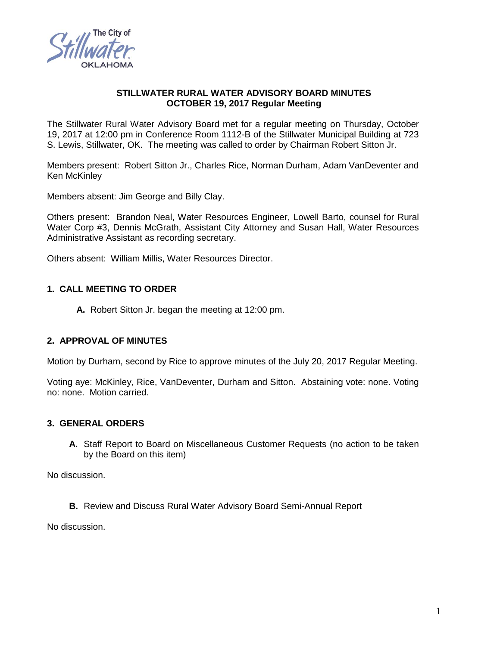

### **STILLWATER RURAL WATER ADVISORY BOARD MINUTES OCTOBER 19, 2017 Regular Meeting**

The Stillwater Rural Water Advisory Board met for a regular meeting on Thursday, October 19, 2017 at 12:00 pm in Conference Room 1112-B of the Stillwater Municipal Building at 723 S. Lewis, Stillwater, OK. The meeting was called to order by Chairman Robert Sitton Jr.

Members present: Robert Sitton Jr., Charles Rice, Norman Durham, Adam VanDeventer and Ken McKinley

Members absent: Jim George and Billy Clay.

Others present: Brandon Neal, Water Resources Engineer, Lowell Barto, counsel for Rural Water Corp #3, Dennis McGrath, Assistant City Attorney and Susan Hall, Water Resources Administrative Assistant as recording secretary.

Others absent: William Millis, Water Resources Director.

## **1. CALL MEETING TO ORDER**

**A.** Robert Sitton Jr. began the meeting at 12:00 pm.

## **2. APPROVAL OF MINUTES**

Motion by Durham, second by Rice to approve minutes of the July 20, 2017 Regular Meeting.

Voting aye: McKinley, Rice, VanDeventer, Durham and Sitton. Abstaining vote: none. Voting no: none. Motion carried.

### **3. GENERAL ORDERS**

**A.** Staff Report to Board on Miscellaneous Customer Requests (no action to be taken by the Board on this item)

No discussion.

**B.** Review and Discuss Rural Water Advisory Board Semi-Annual Report

No discussion.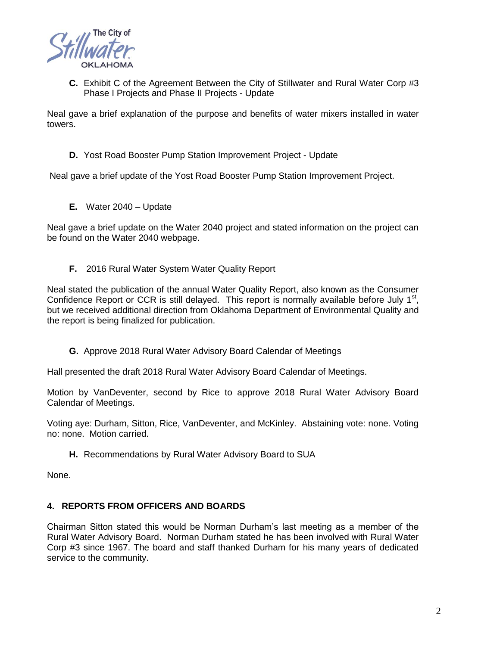

**C.** Exhibit C of the Agreement Between the City of Stillwater and Rural Water Corp #3 Phase I Projects and Phase II Projects - Update

Neal gave a brief explanation of the purpose and benefits of water mixers installed in water towers.

**D.** Yost Road Booster Pump Station Improvement Project - Update

Neal gave a brief update of the Yost Road Booster Pump Station Improvement Project.

**E.** Water 2040 – Update

Neal gave a brief update on the Water 2040 project and stated information on the project can be found on the Water 2040 webpage.

**F.** 2016 Rural Water System Water Quality Report

Neal stated the publication of the annual Water Quality Report, also known as the Consumer Confidence Report or CCR is still delayed. This report is normally available before July  $1<sup>st</sup>$ , but we received additional direction from Oklahoma Department of Environmental Quality and the report is being finalized for publication.

**G.** Approve 2018 Rural Water Advisory Board Calendar of Meetings

Hall presented the draft 2018 Rural Water Advisory Board Calendar of Meetings.

Motion by VanDeventer, second by Rice to approve 2018 Rural Water Advisory Board Calendar of Meetings.

Voting aye: Durham, Sitton, Rice, VanDeventer, and McKinley. Abstaining vote: none. Voting no: none. Motion carried.

**H.** Recommendations by Rural Water Advisory Board to SUA

None.

## **4. REPORTS FROM OFFICERS AND BOARDS**

Chairman Sitton stated this would be Norman Durham's last meeting as a member of the Rural Water Advisory Board. Norman Durham stated he has been involved with Rural Water Corp #3 since 1967. The board and staff thanked Durham for his many years of dedicated service to the community.